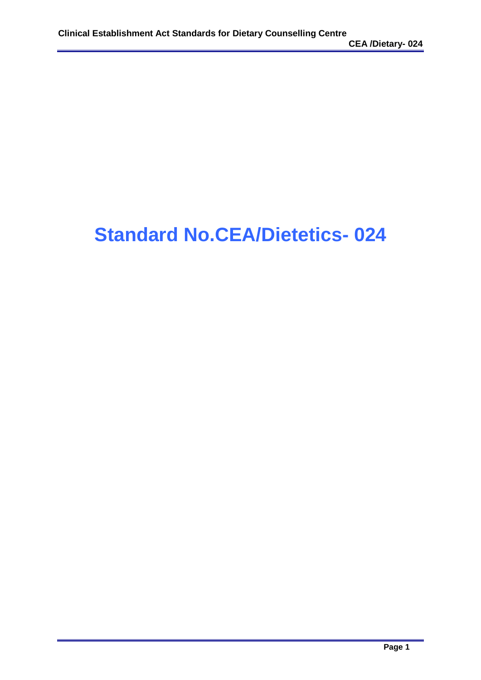# **Standard No.CEA/Dietetics- 024**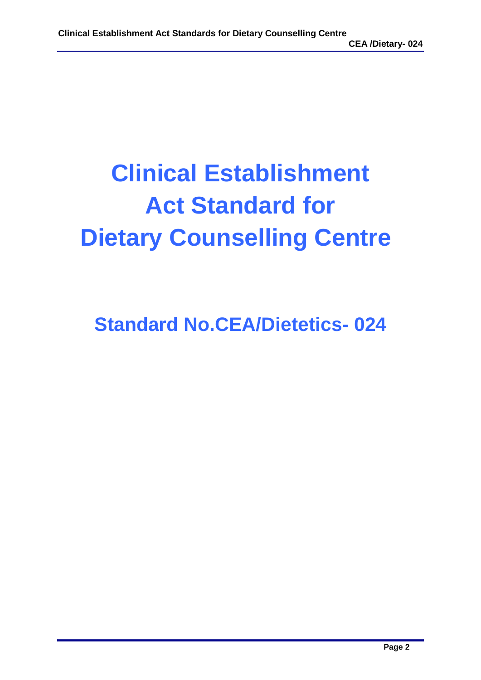# **Clinical Establishment Act Standard for Dietary Counselling Centre**

**Standard No.CEA/Dietetics- 024**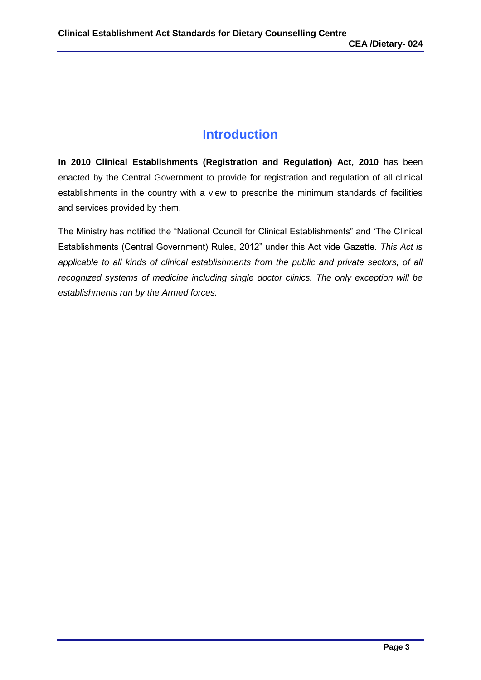# **Introduction**

**In 2010 Clinical Establishments (Registration and Regulation) Act, 2010** has been enacted by the Central Government to provide for registration and regulation of all clinical establishments in the country with a view to prescribe the minimum standards of facilities and services provided by them.

The Ministry has notified the "National Council for Clinical Establishments" and 'The Clinical Establishments (Central Government) Rules, 2012" under this Act vide Gazette. *This Act is applicable to all kinds of clinical establishments from the public and private sectors, of all recognized systems of medicine including single doctor clinics. The only exception will be establishments run by the Armed forces.*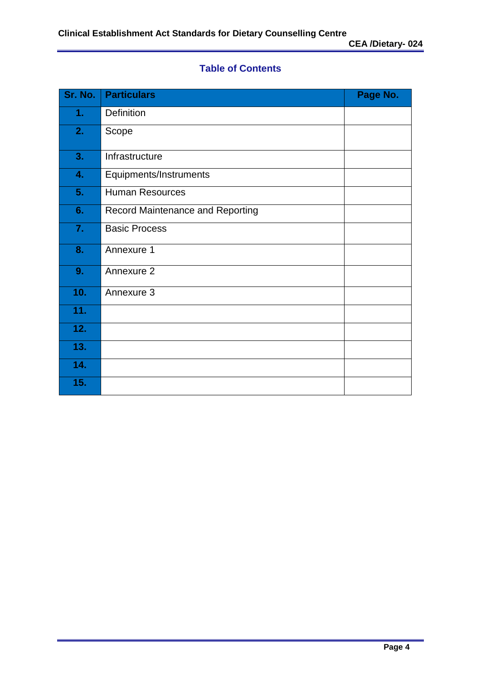# **Table of Contents**

| Sr. No. | <b>Particulars</b>               | Page No. |
|---------|----------------------------------|----------|
| 1.      | Definition                       |          |
| 2.      | Scope                            |          |
| 3.      | Infrastructure                   |          |
| 4.      | Equipments/Instruments           |          |
| 5.      | <b>Human Resources</b>           |          |
| 6.      | Record Maintenance and Reporting |          |
| 7.      | <b>Basic Process</b>             |          |
| 8.      | Annexure 1                       |          |
| 9.      | Annexure 2                       |          |
| 10.     | Annexure 3                       |          |
| 11.     |                                  |          |
| 12.     |                                  |          |
| 13.     |                                  |          |
| 14.     |                                  |          |
| 15.     |                                  |          |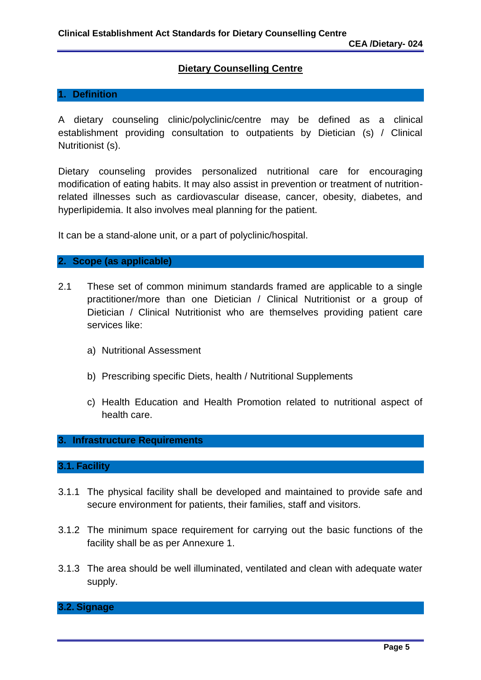#### **Dietary Counselling Centre**

#### **1. Definition**

A dietary counseling clinic/polyclinic/centre may be defined as a clinical establishment providing consultation to outpatients by Dietician (s) / Clinical Nutritionist (s).

Dietary counseling provides personalized nutritional care for encouraging modification of eating habits. It may also assist in prevention or treatment of nutritionrelated illnesses such as cardiovascular disease, cancer, obesity, diabetes, and hyperlipidemia. It also involves meal planning for the patient.

It can be a stand-alone unit, or a part of polyclinic/hospital.

#### **2. Scope (as applicable)**

- 2.1 These set of common minimum standards framed are applicable to a single practitioner/more than one Dietician / Clinical Nutritionist or a group of Dietician / Clinical Nutritionist who are themselves providing patient care services like:
	- a) Nutritional Assessment
	- b) Prescribing specific Diets, health / Nutritional Supplements
	- c) Health Education and Health Promotion related to nutritional aspect of health care.

#### **3. Infrastructure Requirements**

#### **3.1. Facility**

- 3.1.1 The physical facility shall be developed and maintained to provide safe and secure environment for patients, their families, staff and visitors.
- 3.1.2 The minimum space requirement for carrying out the basic functions of the facility shall be as per Annexure 1.
- 3.1.3 The area should be well illuminated, ventilated and clean with adequate water supply.

#### **3.2. Signage**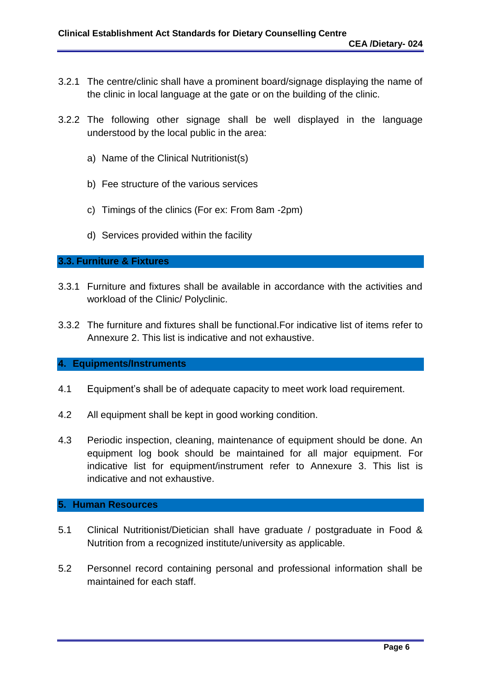- 3.2.1 The centre/clinic shall have a prominent board/signage displaying the name of the clinic in local language at the gate or on the building of the clinic.
- 3.2.2 The following other signage shall be well displayed in the language understood by the local public in the area:
	- a) Name of the Clinical Nutritionist(s)
	- b) Fee structure of the various services
	- c) Timings of the clinics (For ex: From 8am -2pm)
	- d) Services provided within the facility

#### **3.3. Furniture & Fixtures**

- 3.3.1 Furniture and fixtures shall be available in accordance with the activities and workload of the Clinic/ Polyclinic.
- 3.3.2 The furniture and fixtures shall be functional.For indicative list of items refer to Annexure 2. This list is indicative and not exhaustive.

#### **4. Equipments/Instruments**

- 4.1 Equipment's shall be of adequate capacity to meet work load requirement.
- 4.2 All equipment shall be kept in good working condition.
- 4.3 Periodic inspection, cleaning, maintenance of equipment should be done. An equipment log book should be maintained for all major equipment. For indicative list for equipment/instrument refer to Annexure 3. This list is indicative and not exhaustive.

#### **5. Human Resources**

- 5.1 Clinical Nutritionist/Dietician shall have graduate / postgraduate in Food & Nutrition from a recognized institute/university as applicable.
- 5.2 Personnel record containing personal and professional information shall be maintained for each staff.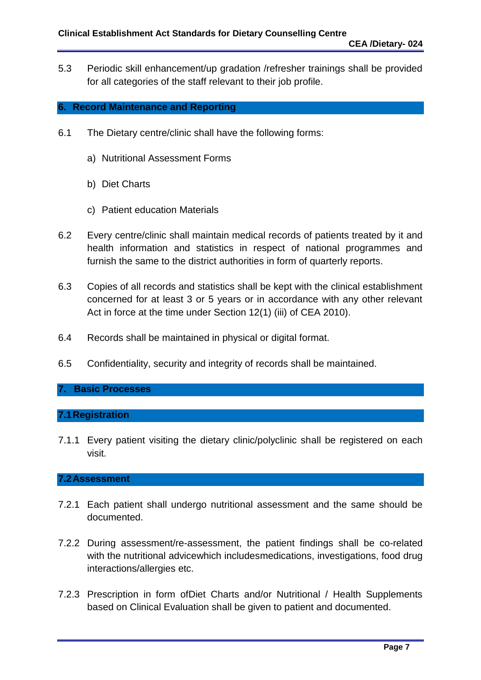5.3 Periodic skill enhancement/up gradation /refresher trainings shall be provided for all categories of the staff relevant to their job profile.

#### **6. Record Maintenance and Reporting**

- 6.1 The Dietary centre/clinic shall have the following forms:
	- a) Nutritional Assessment Forms
	- b) Diet Charts
	- c) Patient education Materials
- 6.2 Every centre/clinic shall maintain medical records of patients treated by it and health information and statistics in respect of national programmes and furnish the same to the district authorities in form of quarterly reports.
- 6.3 Copies of all records and statistics shall be kept with the clinical establishment concerned for at least 3 or 5 years or in accordance with any other relevant Act in force at the time under Section 12(1) (iii) of CEA 2010).
- 6.4 Records shall be maintained in physical or digital format.
- 6.5 Confidentiality, security and integrity of records shall be maintained.

#### **7. Basic Processes**

#### **7.1Registration**

7.1.1 Every patient visiting the dietary clinic/polyclinic shall be registered on each visit.

#### **7.2Assessment**

- 7.2.1 Each patient shall undergo nutritional assessment and the same should be documented.
- 7.2.2 During assessment/re-assessment, the patient findings shall be co-related with the nutritional advicewhich includesmedications, investigations, food drug interactions/allergies etc.
- 7.2.3 Prescription in form ofDiet Charts and/or Nutritional / Health Supplements based on Clinical Evaluation shall be given to patient and documented.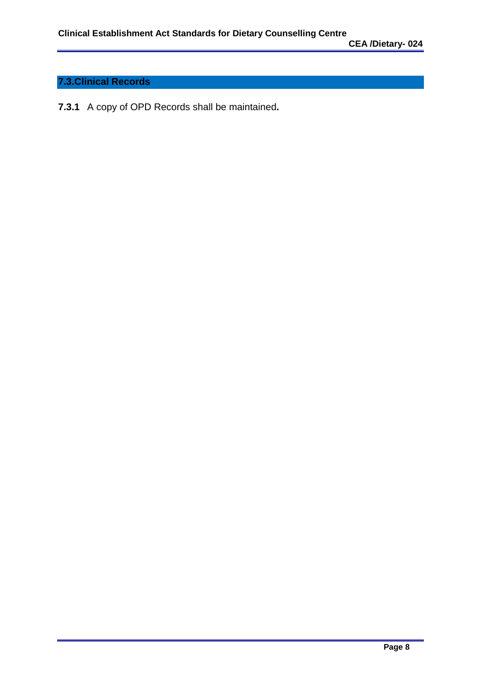# **7.3.Clinical Records**

**7.3.1** A copy of OPD Records shall be maintained**.**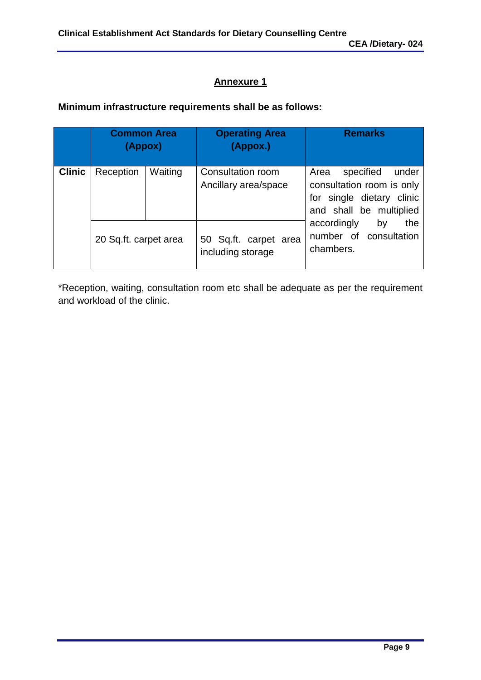## **Annexure 1**

### **Minimum infrastructure requirements shall be as follows:**

|               | <b>Common Area</b><br>(Appox) |         | <b>Operating Area</b><br>(Appox.)          | <b>Remarks</b>                                                                                                  |
|---------------|-------------------------------|---------|--------------------------------------------|-----------------------------------------------------------------------------------------------------------------|
| <b>Clinic</b> | Reception                     | Waiting | Consultation room<br>Ancillary area/space  | specified<br>Area<br>under<br>consultation room is only<br>for single dietary clinic<br>and shall be multiplied |
|               | 20 Sq.ft. carpet area         |         | 50 Sq.ft. carpet area<br>including storage | the<br>accordingly<br>by<br>number of consultation<br>chambers.                                                 |

\*Reception, waiting, consultation room etc shall be adequate as per the requirement and workload of the clinic.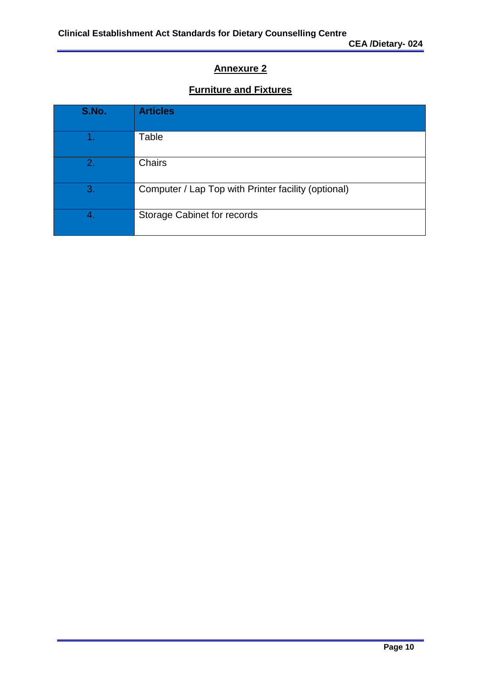# **Annexure 2**

# **Furniture and Fixtures**

| S.No. | <b>Articles</b>                                     |
|-------|-----------------------------------------------------|
|       | Table                                               |
| 2.    | <b>Chairs</b>                                       |
| 3.    | Computer / Lap Top with Printer facility (optional) |
|       | Storage Cabinet for records                         |